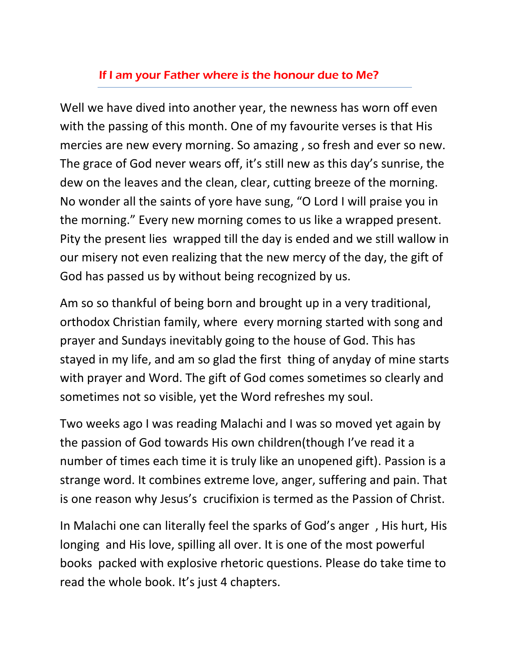## If I am your Father where is the honour due to Me?

Well we have dived into another year, the newness has worn off even with the passing of this month. One of my favourite verses is that His mercies are new every morning. So amazing , so fresh and ever so new. The grace of God never wears off, it's still new as this day's sunrise, the dew on the leaves and the clean, clear, cutting breeze of the morning. No wonder all the saints of yore have sung, "O Lord I will praise you in the morning." Every new morning comes to us like a wrapped present. Pity the present lies wrapped till the day is ended and we still wallow in our misery not even realizing that the new mercy of the day, the gift of God has passed us by without being recognized by us.

Am so so thankful of being born and brought up in a very traditional, orthodox Christian family, where every morning started with song and prayer and Sundays inevitably going to the house of God. This has stayed in my life, and am so glad the first thing of anyday of mine starts with prayer and Word. The gift of God comes sometimes so clearly and sometimes not so visible, yet the Word refreshes my soul.

Two weeks ago I was reading Malachi and I was so moved yet again by the passion of God towards His own children(though I've read it a number of times each time it is truly like an unopened gift). Passion is a strange word. It combines extreme love, anger, suffering and pain. That is one reason why Jesus's crucifixion is termed as the Passion of Christ.

In Malachi one can literally feel the sparks of God's anger , His hurt, His longing and His love, spilling all over. It is one of the most powerful books packed with explosive rhetoric questions. Please do take time to read the whole book. It's just 4 chapters.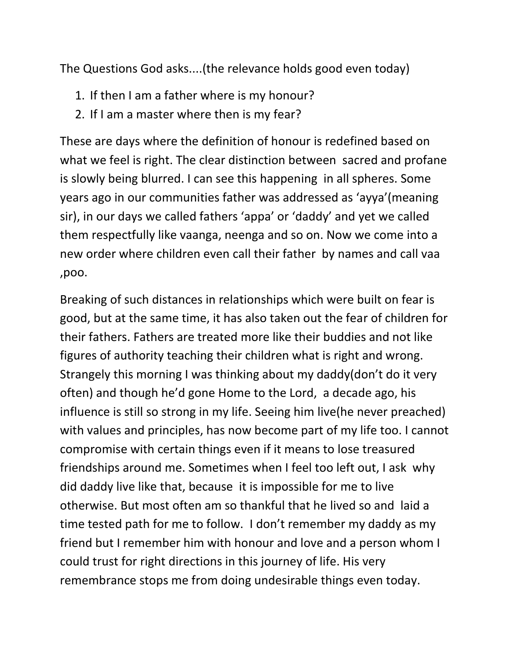The Questions God asks....(the relevance holds good even today)

- 1. If then I am a father where is my honour?
- 2. If I am a master where then is my fear?

These are days where the definition of honour is redefined based on what we feel is right. The clear distinction between sacred and profane is slowly being blurred. I can see this happening in all spheres. Some years ago in our communities father was addressed as 'ayya'(meaning sir), in our days we called fathers 'appa' or 'daddy' and yet we called them respectfully like vaanga, neenga and so on. Now we come into a new order where children even call their father by names and call vaa ,poo.

Breaking of such distances in relationships which were built on fear is good, but at the same time, it has also taken out the fear of children for their fathers. Fathers are treated more like their buddies and not like figures of authority teaching their children what is right and wrong. Strangely this morning I was thinking about my daddy(don't do it very often) and though he'd gone Home to the Lord, a decade ago, his influence is still so strong in my life. Seeing him live(he never preached) with values and principles, has now become part of my life too. I cannot compromise with certain things even if it means to lose treasured friendships around me. Sometimes when I feel too left out, I ask why did daddy live like that, because it is impossible for me to live otherwise. But most often am so thankful that he lived so and laid a time tested path for me to follow. I don't remember my daddy as my friend but I remember him with honour and love and a person whom I could trust for right directions in this journey of life. His very remembrance stops me from doing undesirable things even today.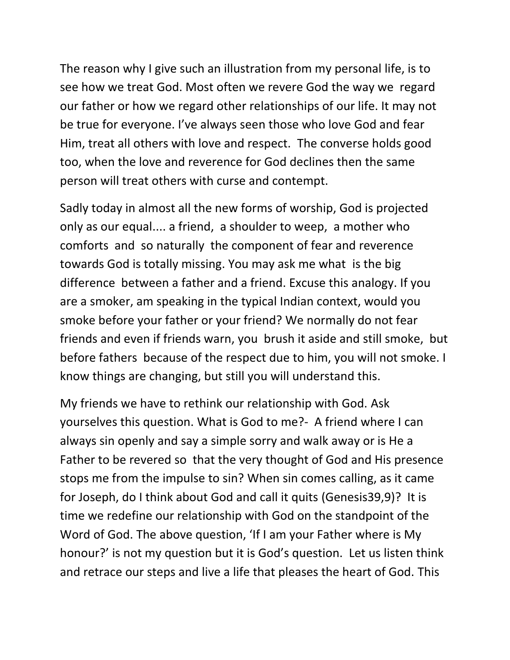The reason why I give such an illustration from my personal life, is to see how we treat God. Most often we revere God the way we regard our father or how we regard other relationships of our life. It may not be true for everyone. I've always seen those who love God and fear Him, treat all others with love and respect. The converse holds good too, when the love and reverence for God declines then the same person will treat others with curse and contempt.

Sadly today in almost all the new forms of worship, God is projected only as our equal.... a friend, a shoulder to weep, a mother who comforts and so naturally the component of fear and reverence towards God is totally missing. You may ask me what is the big difference between a father and a friend. Excuse this analogy. If you are a smoker, am speaking in the typical Indian context, would you smoke before your father or your friend? We normally do not fear friends and even if friends warn, you brush it aside and still smoke, but before fathers because of the respect due to him, you will not smoke. I know things are changing, but still you will understand this.

My friends we have to rethink our relationship with God. Ask yourselves this question. What is God to me?- A friend where I can always sin openly and say a simple sorry and walk away or is He a Father to be revered so that the very thought of God and His presence stops me from the impulse to sin? When sin comes calling, as it came for Joseph, do I think about God and call it quits (Genesis39,9)? It is time we redefine our relationship with God on the standpoint of the Word of God. The above question, 'If I am your Father where is My honour?' is not my question but it is God's question. Let us listen think and retrace our steps and live a life that pleases the heart of God. This